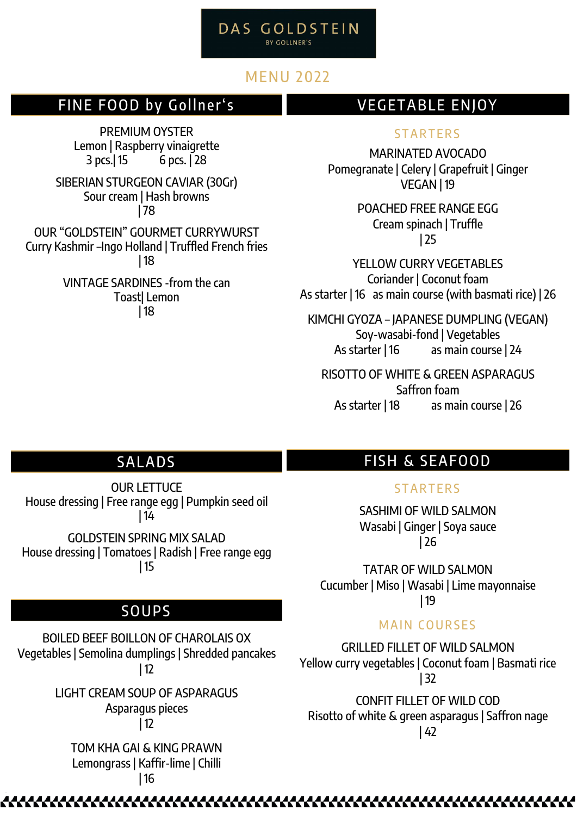#### DAS GOLDSTEIN **BY GOLLNER'S**

# **MENU 2022**

# FINE FOOD by Gollner's

PREMIUM OYSTER Lemon | Raspberry vinaigrette 3 pcs.| 15 6 pcs. | 28

SIBERIAN STURGEON CAVIAR (30Gr) Sour cream | Hash browns | 78

OUR "GOLDSTEIN" GOURMET CURRYWURST Curry Kashmir –Ingo Holland | Truffled French fries | 18

> VINTAGE SARDINES -from the can Toast| Lemon | 18

# VEGETABLE ENJOY

#### **STARTERS**

OUR LETTUCE House dressing | Free range egg | Pumpkin seed oil | 14

GOLDSTEIN SPRING MIX SALAD House dressing | Tomatoes | Radish | Free range egg | 15

# FISH & SEAFOOD

#### **STARTERS**

KIMCHI GYOZA – JAPANESE DUMPLING (VEGAN) Soy-wasabi-fond | Vegetables As starter | 16 as main course | 24

RISOTTO OF WHITE & GREEN ASPARAGUS Saffron foam As starter | 18 as main course | 26

# **SALADS**

#### BOILED BEEF BOILLON OF CHAROLAIS OX Vegetables | Semolina dumplings | Shredded pancakes | 12

## LIGHT CREAM SOUP OF ASPARAGUS Asparagus pieces | 12

## **MAIN COURSES**

### TOM KHA GAI & KING PRAWN Lemongrass | Kaffir-lime | Chilli | 16

## 

MARINATED AVOCADO Pomegranate | Celery | Grapefruit | Ginger VEGAN | 19

> POACHED FREE RANGE EGG Cream spinach | Truffle | 25

YELLOW CURRY VEGETABLES Coriander | Coconut foam As starter | 16 as main course (with basmati rice) | 26

> SASHIMI OF WILD SALMON Wasabi | Ginger | Soya sauce | 26

TATAR OF WILD SALMON Cucumber | Miso | Wasabi | Lime mayonnaise | 19

## **SOUPS**

GRILLED FILLET OF WILD SALMON Yellow curry vegetables | Coconut foam | Basmati rice | 32

CONFIT FILLET OF WILD COD Risotto of white & green asparagus | Saffron nage | 42